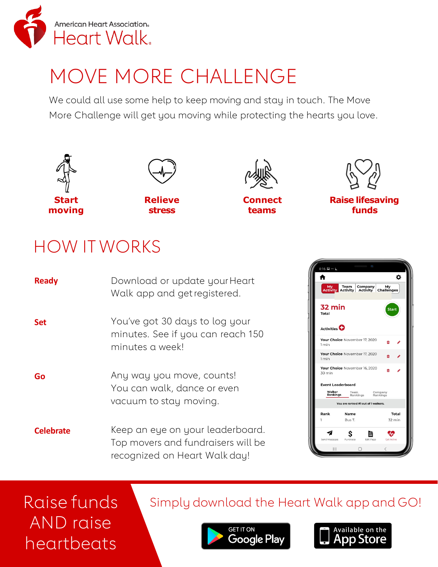

# MOVE MORE CHALLENGE

We could all use some help to keep moving and stay in touch. The Move More Challenge will get you moving while protecting the hearts you love.



Raise funds AND raise heartbeats

Simply download the Heart Walk app and GO!



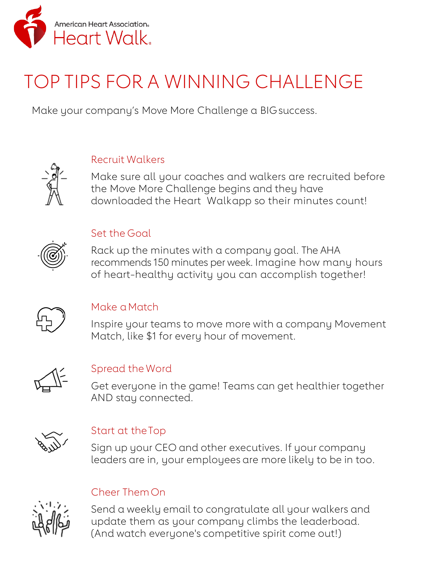

# TOP TIPS FOR A WINNING CHALLENGE

Make your company's Move More Challenge a BIGsuccess.



## Recruit Walkers

Make sure all your coaches and walkers are recruited before the Move More Challenge begins and they have downloaded the Heart Walkapp so their minutes count!



## Set the Goal

Rack up the minutes with a company goal. The AHA recommends 150 minutes per week. Imagine how many hours of heart-healthy activity you can accomplish together!



### Make a Match

Inspire your teams to move more with a company Movement Match, like \$1 for every hour of movement.



### Spread the Word

Get everyone in the game! Teams can get healthier together AND stay connected.



## Start at theTop

Sign up your CEO and other executives. If your company leaders are in, your employees are more likely to be in too.

## Cheer ThemOn



Send a weekly email to congratulate all your walkers and update them as your company climbs the leaderboad. (And watch everyone's competitive spirit come out!)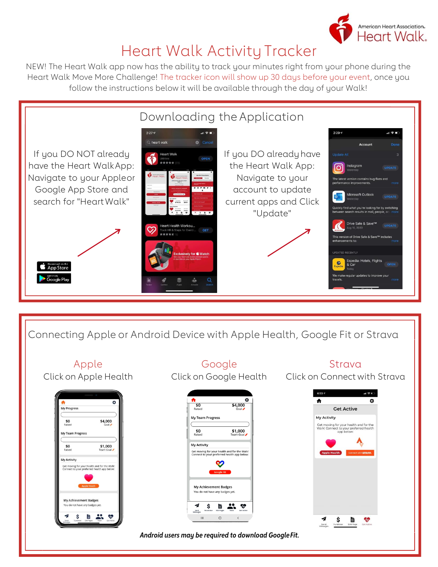

## Heart Walk Activity Tracker

NEW! The Heart Walk app now has the ability to track your minutes right from your phone during the Heart Walk Move More Challenge! The tracker icon will show up 30 days before your event, once you follow the instructions below it will be available through the day of your Walk!



Connecting Apple or Android Device with Apple Health, Google Fit or Strava

#### Apple Google Strava Click on Apple Health Click on Google Health Click on Connect with Strava $\overline{\phantom{0}}$ \$0 \$4,000 **My Progress Get Active** My Team Progress My Activity  $\$0$ \$4,000 Get moving for your health and for the<br>Walk! Connect to your preferred healt!  $$0$ <br>Raised \$1,000 My Team Progress My Activity  $$0$ \$1,000 Get moving for your health and for the Walk!<br>Connect to your preferred health app below: **My Activity** Get moving for your health and for the Walk!<br>Connect to your preferred health app below: **My Achievement Badges** ou do not have any badges yet My Achievement Badges lo not have any badges yet  $\mathsf{s}$  $\mathbb{R}$   $\mathbb{Z}$   $\mathbb{Z}$  $\mathbf{a}$ Ś  $\mathop{\rm III}$  $\circ$ *Android users may be required to download GoogleFit.*